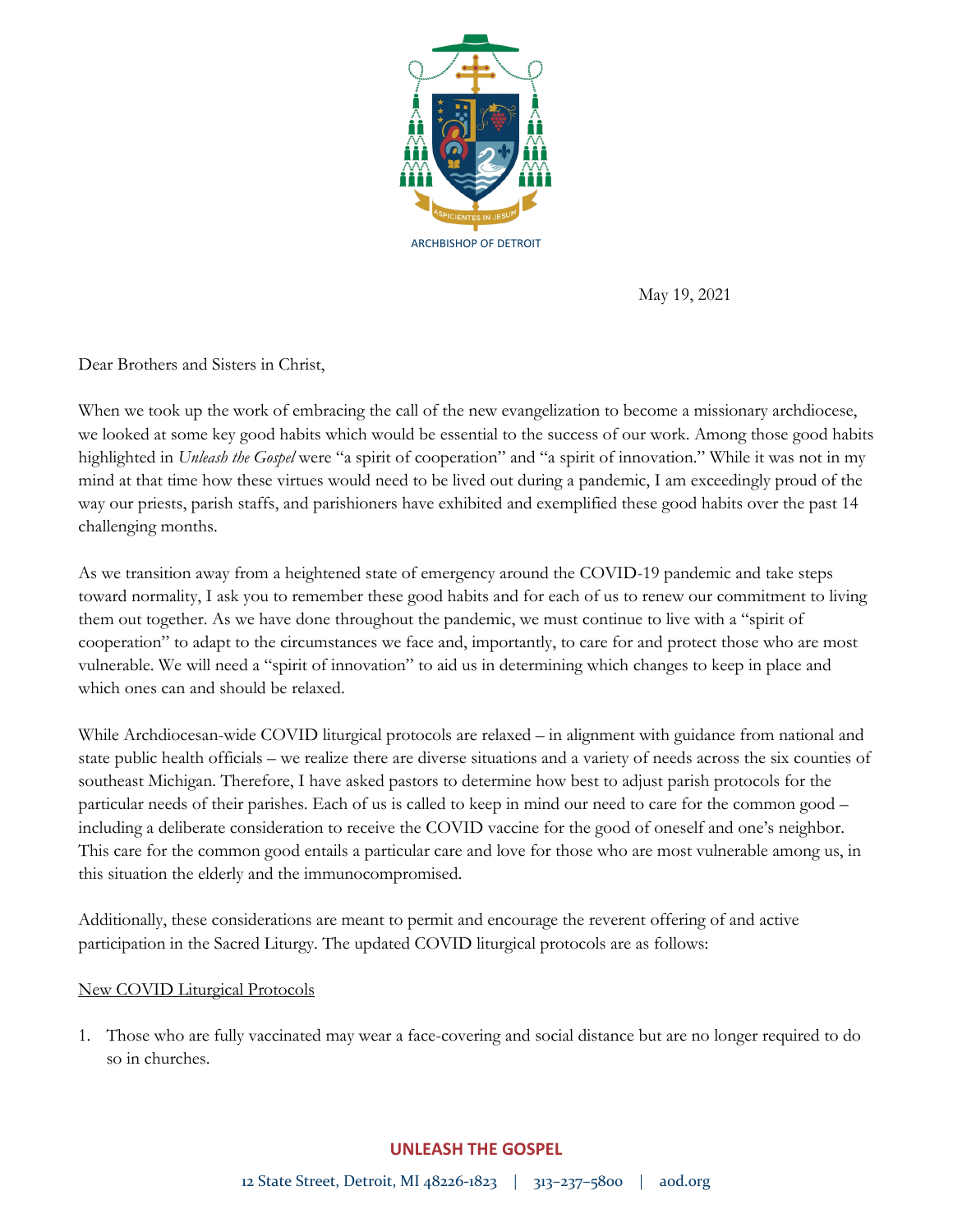

May 19, 2021

Dear Brothers and Sisters in Christ,

When we took up the work of embracing the call of the new evangelization to become a missionary archdiocese, we looked at some key good habits which would be essential to the success of our work. Among those good habits highlighted in *Unleash the Gospel* were "a spirit of cooperation" and "a spirit of innovation." While it was not in my mind at that time how these virtues would need to be lived out during a pandemic, I am exceedingly proud of the way our priests, parish staffs, and parishioners have exhibited and exemplified these good habits over the past 14 challenging months.

As we transition away from a heightened state of emergency around the COVID-19 pandemic and take steps toward normality, I ask you to remember these good habits and for each of us to renew our commitment to living them out together. As we have done throughout the pandemic, we must continue to live with a "spirit of cooperation" to adapt to the circumstances we face and, importantly, to care for and protect those who are most vulnerable. We will need a "spirit of innovation" to aid us in determining which changes to keep in place and which ones can and should be relaxed.

While Archdiocesan-wide COVID liturgical protocols are relaxed – in alignment with guidance from national and state public health officials – we realize there are diverse situations and a variety of needs across the six counties of southeast Michigan. Therefore, I have asked pastors to determine how best to adjust parish protocols for the particular needs of their parishes. Each of us is called to keep in mind our need to care for the common good – including a deliberate consideration to receive the COVID vaccine for the good of oneself and one's neighbor. This care for the common good entails a particular care and love for those who are most vulnerable among us, in this situation the elderly and the immunocompromised.

Additionally, these considerations are meant to permit and encourage the reverent offering of and active participation in the Sacred Liturgy. The updated COVID liturgical protocols are as follows:

## New COVID Liturgical Protocols

1. Those who are fully vaccinated may wear a face-covering and social distance but are no longer required to do so in churches.

## **UNLEASH THE GOSPEL**